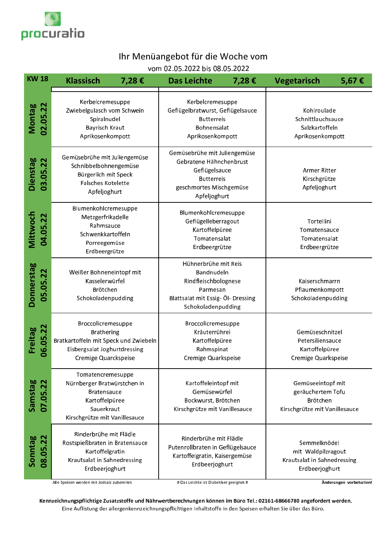

## Ihr Menüangebot für die Woche vom

vom 02.05.2022 bis 08.05.2022

| <b>KW18</b>                   | <b>Klassisch</b><br>7,28€                                                                                                                | <b>Das Leichte</b><br>7,28€                                                                                                              | <b>Vegetarisch</b><br>5,67€                                                         |  |
|-------------------------------|------------------------------------------------------------------------------------------------------------------------------------------|------------------------------------------------------------------------------------------------------------------------------------------|-------------------------------------------------------------------------------------|--|
| 02.05.22<br>Montag            | Kerbelcremesuppe<br>Zwiebelgulasch vom Schwein<br>Spiralnudel<br><b>Bayrisch Kraut</b><br>Aprikosenkompott                               | Kerbelcremesuppe<br>Geflügelbratwurst, Geflügelsauce<br><b>Butterreis</b><br>Bohnensalat<br>Aprikosenkompott                             | Kohlroulade<br>Schnittlauchsauce<br>Salzkartoffeln<br>Aprikosenkompott              |  |
| Dienstag<br>03.05.22          | Gemüsebrühe mit Juliengemüse<br>Schnibbelbohnengemüse<br>Bürgerlich mit Speck<br>Falsches Kotelette<br>Apfeljoghurt                      | Gemüsebrühe mit Juliengemüse<br>Gebratene Hähnchenbrust<br>Geflügelsauce<br><b>Butterreis</b><br>geschmortes Mischgemüse<br>Apfeljoghurt | Armer Ritter<br>Kirschgrütze<br>Apfeljoghurt                                        |  |
| Mittwoch<br>04.05.22          | Blumenkohlcremesuppe<br>Metzgerfrikadelle<br>Rahmsauce<br>Schwenkkartoffeln<br>Porreegemüse<br>Erdbeergrütze                             | Blumenkohlcremesuppe<br>Geflügelleberragout<br>Kartoffelpüree<br>Tomatensalat<br>Erdbeergrütze                                           | Tortellini<br>Tomatensauce<br>Tomatensalat<br>Erdbeergrütze                         |  |
| <b>Donnerstag</b><br>05.05.22 | Weißer Bohneneintopf mit<br>Kasselerwürfel<br>Brötchen<br>Schokoladenpudding                                                             | Hühnerbrühe mit Reis<br>Bandnudeln<br>Rindfleischbolognese<br>Parmesan<br>Blattsalat mit Essig- Öl- Dressing<br>Schokoladenpudding       | Kaiserschmarrn<br>Pflaumenkompott<br>Schokoladenpudding                             |  |
| Freitag<br>06.05.22           | Broccolicremesuppe<br><b>Brathering</b><br>Bratkartoffeln mit Speck und Zwiebeln<br>Eisbergsalat Joghurtdressing<br>Cremige Quarckspeise | Broccolicremesuppe<br>Kräuterrührei<br>Kartoffelpüree<br>Rahmspinat<br>Cremige Quarkspeise                                               | Gemüseschnitzel<br>Petersiliensauce<br>Kartoffelpüree<br>Cremige Quarkspeise        |  |
| Samstag<br>07.05.22           | Tomatencremesuppe<br>Nürnberger Bratwürstchen in<br><b>Bratensauce</b><br>Kartoffelpüree<br>Sauerkraut<br>Kirschgrütze mit Vanillesauce  | Kartoffeleintopf mit<br>Gemüsewürfel<br>Bockwurst, Brötchen<br>Kirschgrütze mit Vanillesauce                                             | Gemüseeintopf mit<br>geräuchertem Tofu<br>Brötchen<br>Kirschgrütze mit Vanillesauce |  |
| Sonntag<br>08.05.22           | Rinderbrühe mit Flädle<br>Rostspießbraten in Bratensauce<br>Kartoffelgratin<br>Krautsalat in Sahnedressing<br>Erdbeerjoghurt             | Rinderbrühe mit Flädle<br>Putenrollbraten in Geflügelsauce<br>Kartoffelgratin, Kaisergemüse<br>Erdbeerjoghurt                            | Semmelknödel<br>mit Waldpilzragout<br>Krautsalat in Sahnedressing<br>Erdbeerjoghurt |  |

.<br>Alle Speisen werden mit Jodsalz zubereitet.

# Das Leichte ist Diabetiker geeignet #

Änderungen vorbehalten!

Kennzeichnungspflichtige Zusatzstoffe und Nährwertberechnungen können im Büro Tel.: 02161-68666780 angefordert werden. Eine Auflistung der allergenkennzeichnungspflichtigen Inhaltstoffe in den Speisen erhalten Sie über das Büro.